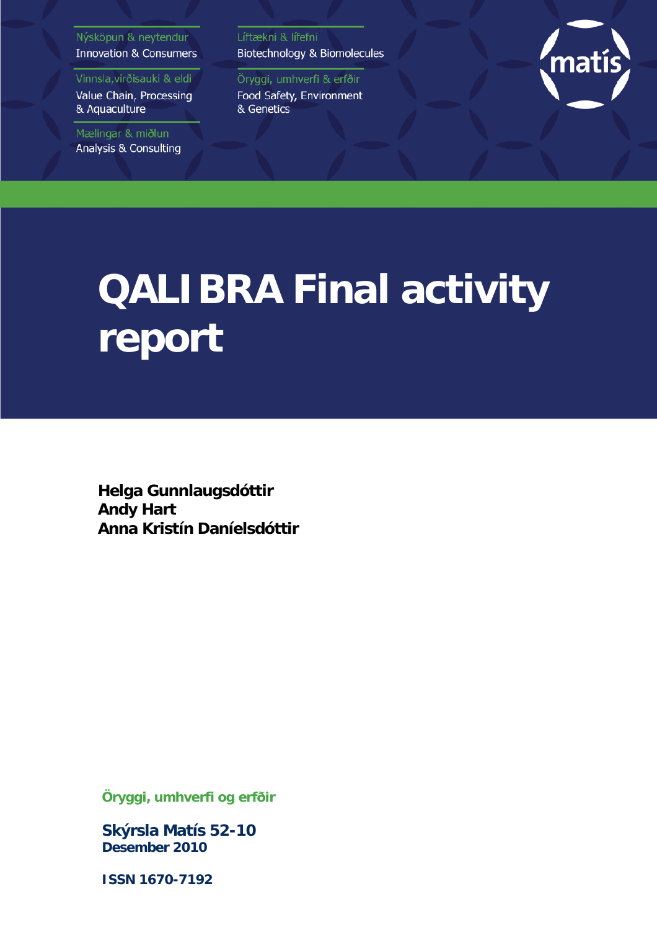#### Nýsköpun & neytendur **Innovation & Consumers**

Vinnsla, virðisauki & eldi

Value Chain, Processing & Aquaculture

Mælingar & miðlun Analysis & Consulting Líftækni & lífefni Biotechnology & Biomolecules

Öryggi, umhverfi & erfðir Food Safety, Environment & Genetics



# **QALIBRA Final activity report**

**Helga Gunnlaugsdóttir Andy Hart Anna Kristín Daníelsdóttir**

**Öryggi, umhverfi og erfðir**

**Skýrsla Matís 52-10 Desember 2010**

**ISSN 1670-7192**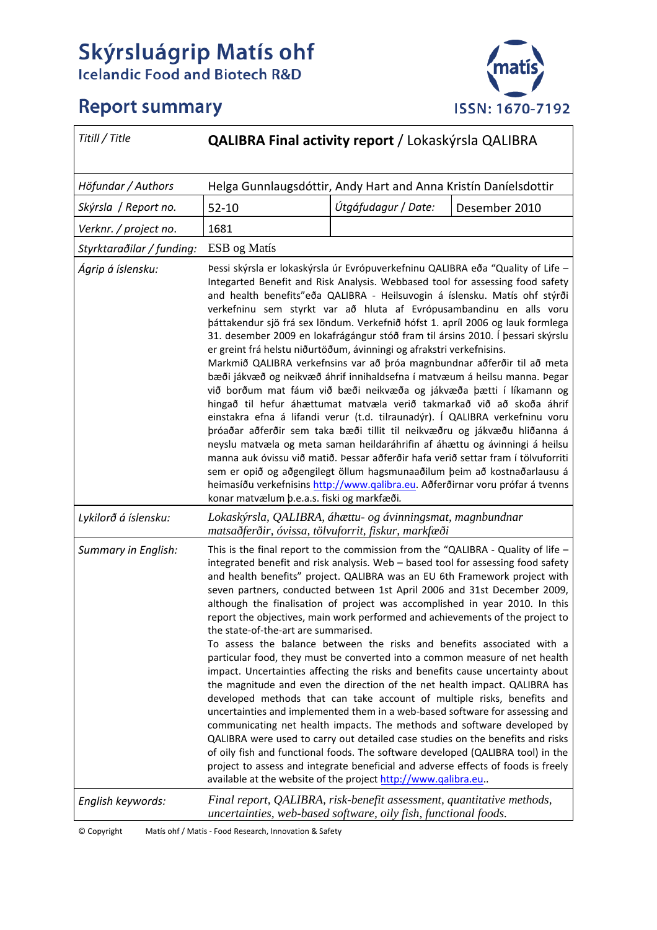# **Skýrsluágrip Matís ohf**<br>Icelandic Food and Biotech R&D



# **Report summary**

| Titill / Title            | QALIBRA Final activity report / Lokaskýrsla QALIBRA                                                                                                                                                                                                                                                                                                                                                                                                                                                                                                                                                                                                                                                                                                                                                                                                                                                                                                                                                                                                                                                                                                                                                                                                                                                                                                                                                                              |                     |               |  |
|---------------------------|----------------------------------------------------------------------------------------------------------------------------------------------------------------------------------------------------------------------------------------------------------------------------------------------------------------------------------------------------------------------------------------------------------------------------------------------------------------------------------------------------------------------------------------------------------------------------------------------------------------------------------------------------------------------------------------------------------------------------------------------------------------------------------------------------------------------------------------------------------------------------------------------------------------------------------------------------------------------------------------------------------------------------------------------------------------------------------------------------------------------------------------------------------------------------------------------------------------------------------------------------------------------------------------------------------------------------------------------------------------------------------------------------------------------------------|---------------------|---------------|--|
| Höfundar / Authors        | Helga Gunnlaugsdóttir, Andy Hart and Anna Kristín Daníelsdottir                                                                                                                                                                                                                                                                                                                                                                                                                                                                                                                                                                                                                                                                                                                                                                                                                                                                                                                                                                                                                                                                                                                                                                                                                                                                                                                                                                  |                     |               |  |
| Skýrsla / Report no.      | $52 - 10$                                                                                                                                                                                                                                                                                                                                                                                                                                                                                                                                                                                                                                                                                                                                                                                                                                                                                                                                                                                                                                                                                                                                                                                                                                                                                                                                                                                                                        | Útgáfudagur / Date: | Desember 2010 |  |
| Verknr. / project no.     | 1681                                                                                                                                                                                                                                                                                                                                                                                                                                                                                                                                                                                                                                                                                                                                                                                                                                                                                                                                                                                                                                                                                                                                                                                                                                                                                                                                                                                                                             |                     |               |  |
| Styrktaraðilar / funding: | ESB og Matís                                                                                                                                                                                                                                                                                                                                                                                                                                                                                                                                                                                                                                                                                                                                                                                                                                                                                                                                                                                                                                                                                                                                                                                                                                                                                                                                                                                                                     |                     |               |  |
| Ágrip á íslensku:         | Pessi skýrsla er lokaskýrsla úr Evrópuverkefninu QALIBRA eða "Quality of Life -<br>Integarted Benefit and Risk Analysis. Webbased tool for assessing food safety<br>and health benefits"eða QALIBRA - Heilsuvogin á íslensku. Matís ohf stýrði<br>verkefninu sem styrkt var að hluta af Evrópusambandinu en alls voru<br>þáttakendur sjö frá sex löndum. Verkefnið hófst 1. apríl 2006 og lauk formlega<br>31. desember 2009 en lokafrágángur stóð fram til ársins 2010. Í þessari skýrslu<br>er greint frá helstu niðurtöðum, ávinningi og afrakstri verkefnisins.<br>Markmið QALIBRA verkefnsins var að þróa magnbundnar aðferðir til að meta<br>bæði jákvæð og neikvæð áhrif innihaldsefna í matvæum á heilsu manna. Þegar<br>við borðum mat fáum við bæði neikvæða og jákvæða þætti í líkamann og<br>hingað til hefur áhættumat matvæla verið takmarkað við að skoða áhrif<br>einstakra efna á lifandi verur (t.d. tilraunadýr). Í QALIBRA verkefninu voru<br>þróaðar aðferðir sem taka bæði tillit til neikvæðru og jákvæðu hliðanna á<br>neyslu matvæla og meta saman heildaráhrifin af áhættu og ávinningi á heilsu<br>manna auk óvissu við matið. Þessar aðferðir hafa verið settar fram í tölvuforriti<br>sem er opið og aðgengilegt öllum hagsmunaaðilum þeim að kostnaðarlausu á<br>heimasíðu verkefnisins http://www.galibra.eu. Aðferðirnar voru prófar á tvenns<br>konar matvælum þ.e.a.s. fiski og markfæði.      |                     |               |  |
| Lykilorð á íslensku:      | Lokaskýrsla, QALIBRA, áhættu- og ávinningsmat, magnbundnar<br>matsaðferðir, óvissa, tölvuforrit, fiskur, markfæði                                                                                                                                                                                                                                                                                                                                                                                                                                                                                                                                                                                                                                                                                                                                                                                                                                                                                                                                                                                                                                                                                                                                                                                                                                                                                                                |                     |               |  |
| Summary in English:       | This is the final report to the commission from the "QALIBRA - Quality of life -<br>integrated benefit and risk analysis. Web - based tool for assessing food safety<br>and health benefits" project. QALIBRA was an EU 6th Framework project with<br>seven partners, conducted between 1st April 2006 and 31st December 2009,<br>although the finalisation of project was accomplished in year 2010. In this<br>report the objectives, main work performed and achievements of the project to<br>the state-of-the-art are summarised.<br>To assess the balance between the risks and benefits associated with a<br>particular food, they must be converted into a common measure of net health<br>impact. Uncertainties affecting the risks and benefits cause uncertainty about<br>the magnitude and even the direction of the net health impact. QALIBRA has<br>developed methods that can take account of multiple risks, benefits and<br>uncertainties and implemented them in a web-based software for assessing and<br>communicating net health impacts. The methods and software developed by<br>QALIBRA were used to carry out detailed case studies on the benefits and risks<br>of oily fish and functional foods. The software developed (QALIBRA tool) in the<br>project to assess and integrate beneficial and adverse effects of foods is freely<br>available at the website of the project http://www.qalibra.eu |                     |               |  |
| English keywords:         | Final report, QALIBRA, risk-benefit assessment, quantitative methods,<br>uncertainties, web-based software, oily fish, functional foods.                                                                                                                                                                                                                                                                                                                                                                                                                                                                                                                                                                                                                                                                                                                                                                                                                                                                                                                                                                                                                                                                                                                                                                                                                                                                                         |                     |               |  |

© Copyright Matís ohf / Matis ‐ Food Research, Innovation & Safety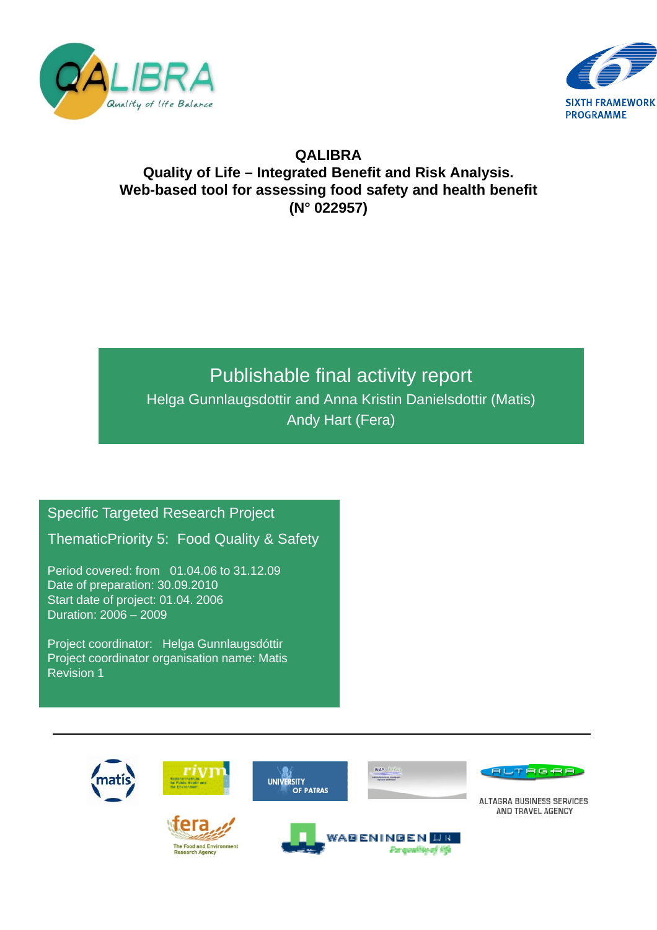



## **QALIBRA Quality of Life – Integrated Benefit and Risk Analysis. Web-based tool for assessing food safety and health benefit (N° 022957)**

# Publishable final activity report

Helga Gunnlaugsdottir and Anna Kristin Danielsdottir (Matis) Andy Hart (Fera)

Specific Targeted Research Project

ThematicPriority 5: Food Quality & Safety

Period covered: from 01.04.06 to 31.12.09 Date of preparation: 30.09.2010 Start date of project: 01.04. 2006 Duration: 2006 – 2009

Project coordinator: Helga Gunnlaugsdóttir Project coordinator organisation name: Matis Revision 1

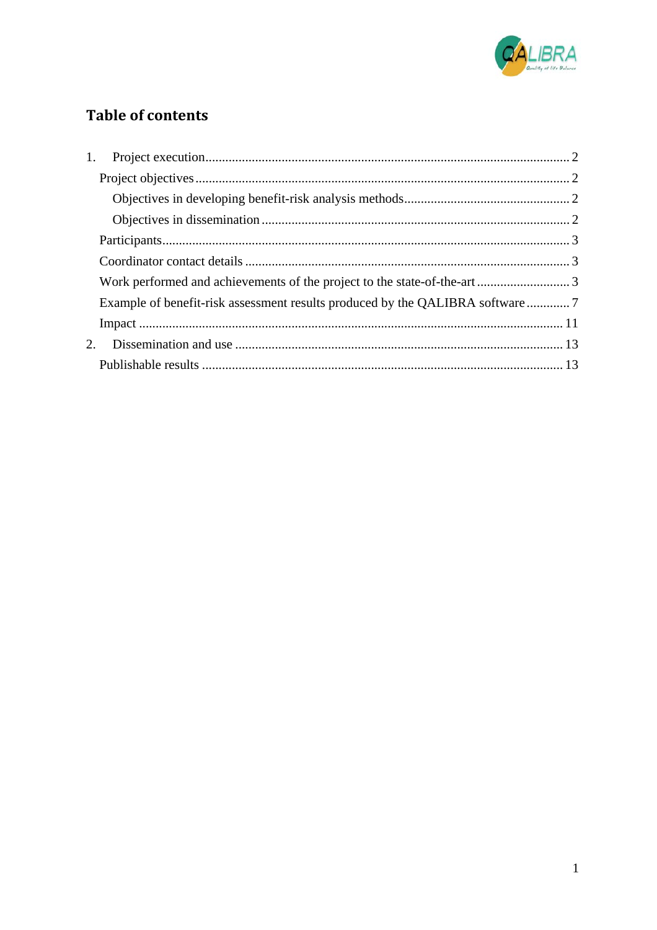

## **Table of contents**

| Example of benefit-risk assessment results produced by the QALIBRA software7 |  |
|------------------------------------------------------------------------------|--|
|                                                                              |  |
|                                                                              |  |
|                                                                              |  |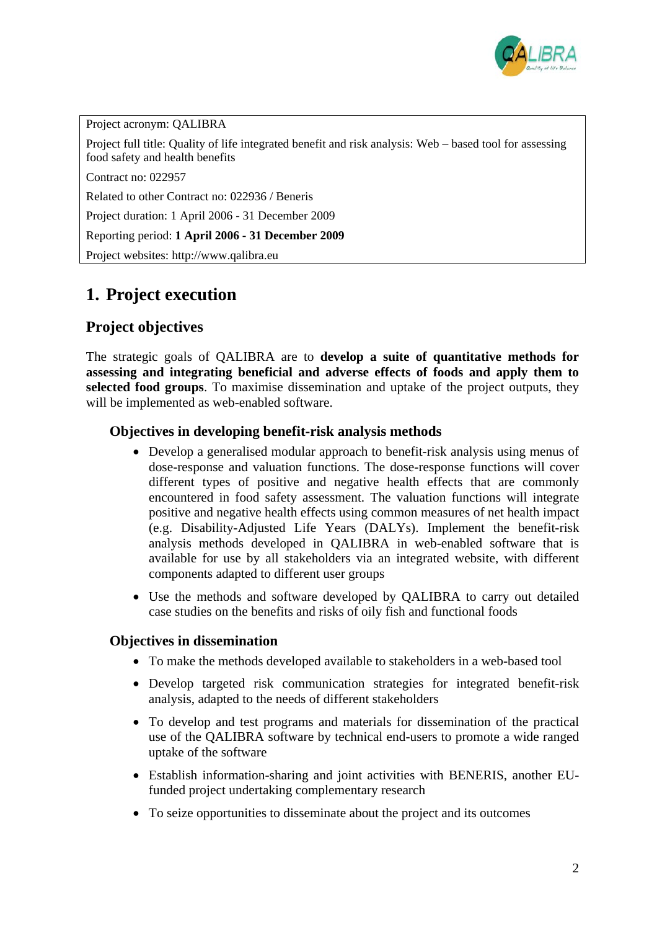

Project acronym: QALIBRA Project full title: Quality of life integrated benefit and risk analysis: Web – based tool for assessing food safety and health benefits Contract no: 022957

Related to other Contract no: 022936 / Beneris

Project duration: 1 April 2006 - 31 December 2009

Reporting period: **1 April 2006 - 31 December 2009** 

Project websites: http://www.qalibra.eu

## **1. Project execution**

#### **Project objectives**

The strategic goals of QALIBRA are to **develop a suite of quantitative methods for assessing and integrating beneficial and adverse effects of foods and apply them to selected food groups**. To maximise dissemination and uptake of the project outputs, they will be implemented as web-enabled software.

#### **Objectives in developing benefit-risk analysis methods**

- Develop a generalised modular approach to benefit-risk analysis using menus of dose-response and valuation functions. The dose-response functions will cover different types of positive and negative health effects that are commonly encountered in food safety assessment. The valuation functions will integrate positive and negative health effects using common measures of net health impact (e.g. Disability-Adjusted Life Years (DALYs). Implement the benefit-risk analysis methods developed in QALIBRA in web-enabled software that is available for use by all stakeholders via an integrated website, with different components adapted to different user groups
- Use the methods and software developed by QALIBRA to carry out detailed case studies on the benefits and risks of oily fish and functional foods

#### **Objectives in dissemination**

- To make the methods developed available to stakeholders in a web-based tool
- Develop targeted risk communication strategies for integrated benefit-risk analysis, adapted to the needs of different stakeholders
- To develop and test programs and materials for dissemination of the practical use of the QALIBRA software by technical end-users to promote a wide ranged uptake of the software
- Establish information-sharing and joint activities with BENERIS, another EUfunded project undertaking complementary research
- To seize opportunities to disseminate about the project and its outcomes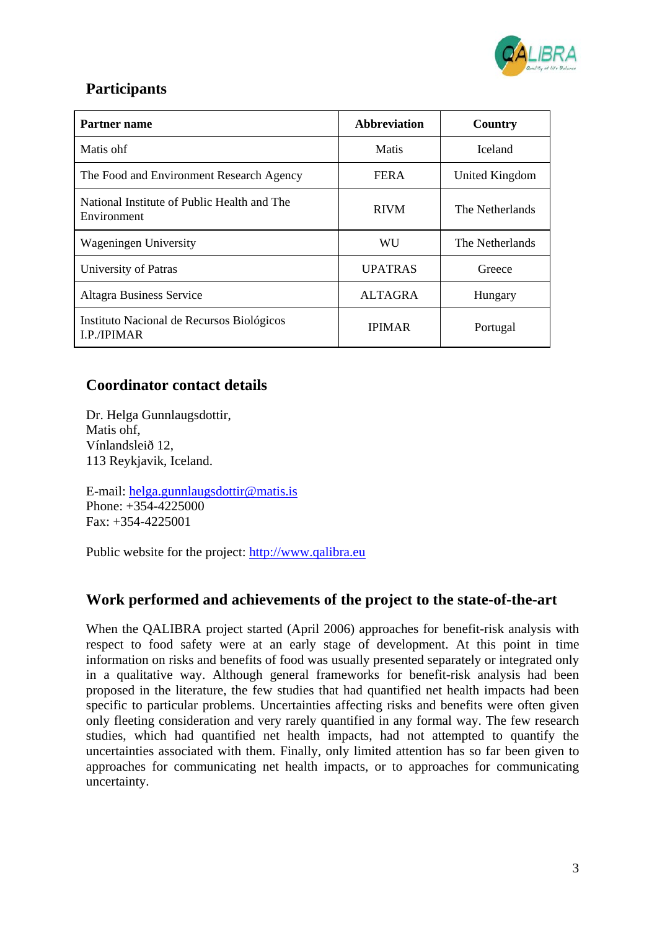

## **Participants**

| Partner name                                                  | <b>Abbreviation</b> | Country         |
|---------------------------------------------------------------|---------------------|-----------------|
| Matis ohf                                                     | Matis               | <b>Iceland</b>  |
| The Food and Environment Research Agency                      | <b>FERA</b>         | United Kingdom  |
| National Institute of Public Health and The<br>Environment    | <b>RIVM</b>         | The Netherlands |
| <b>Wageningen University</b>                                  | WU                  | The Netherlands |
| University of Patras                                          | <b>UPATRAS</b>      | Greece          |
| <b>Altagra Business Service</b>                               | <b>ALTAGRA</b>      | Hungary         |
| Instituto Nacional de Recursos Biológicos<br><b>LP/IPIMAR</b> | <b>IPIMAR</b>       | Portugal        |

## **Coordinator contact details**

Dr. Helga Gunnlaugsdottir, Matis ohf, Vínlandsleið 12, 113 Reykjavik, Iceland.

E-mail: helga.gunnlaugsdottir@matis.is Phone: +354-4225000 Fax: +354-4225001

Public website for the project: http://www.qalibra.eu

## **Work performed and achievements of the project to the state-of-the-art**

When the QALIBRA project started (April 2006) approaches for benefit-risk analysis with respect to food safety were at an early stage of development. At this point in time information on risks and benefits of food was usually presented separately or integrated only in a qualitative way. Although general frameworks for benefit-risk analysis had been proposed in the literature, the few studies that had quantified net health impacts had been specific to particular problems. Uncertainties affecting risks and benefits were often given only fleeting consideration and very rarely quantified in any formal way. The few research studies, which had quantified net health impacts, had not attempted to quantify the uncertainties associated with them. Finally, only limited attention has so far been given to approaches for communicating net health impacts, or to approaches for communicating uncertainty.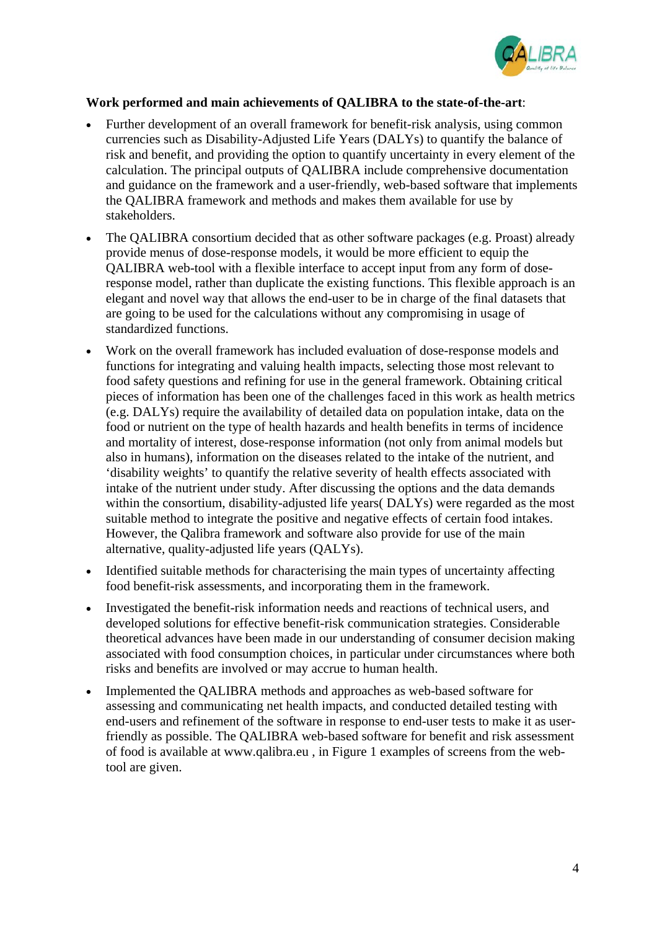

#### **Work performed and main achievements of QALIBRA to the state-of-the-art**:

- Further development of an overall framework for benefit-risk analysis, using common currencies such as Disability-Adjusted Life Years (DALYs) to quantify the balance of risk and benefit, and providing the option to quantify uncertainty in every element of the calculation. The principal outputs of QALIBRA include comprehensive documentation and guidance on the framework and a user-friendly, web-based software that implements the QALIBRA framework and methods and makes them available for use by stakeholders.
- The QALIBRA consortium decided that as other software packages (e.g. Proast) already provide menus of dose-response models, it would be more efficient to equip the QALIBRA web-tool with a flexible interface to accept input from any form of doseresponse model, rather than duplicate the existing functions. This flexible approach is an elegant and novel way that allows the end-user to be in charge of the final datasets that are going to be used for the calculations without any compromising in usage of standardized functions.
- Work on the overall framework has included evaluation of dose-response models and functions for integrating and valuing health impacts, selecting those most relevant to food safety questions and refining for use in the general framework. Obtaining critical pieces of information has been one of the challenges faced in this work as health metrics (e.g. DALYs) require the availability of detailed data on population intake, data on the food or nutrient on the type of health hazards and health benefits in terms of incidence and mortality of interest, dose-response information (not only from animal models but also in humans), information on the diseases related to the intake of the nutrient, and 'disability weights' to quantify the relative severity of health effects associated with intake of the nutrient under study. After discussing the options and the data demands within the consortium, disability-adjusted life years( DALYs) were regarded as the most suitable method to integrate the positive and negative effects of certain food intakes. However, the Qalibra framework and software also provide for use of the main alternative, quality-adjusted life years (QALYs).
- Identified suitable methods for characterising the main types of uncertainty affecting food benefit-risk assessments, and incorporating them in the framework.
- Investigated the benefit-risk information needs and reactions of technical users, and developed solutions for effective benefit-risk communication strategies. Considerable theoretical advances have been made in our understanding of consumer decision making associated with food consumption choices, in particular under circumstances where both risks and benefits are involved or may accrue to human health.
- Implemented the QALIBRA methods and approaches as web-based software for assessing and communicating net health impacts, and conducted detailed testing with end-users and refinement of the software in response to end-user tests to make it as userfriendly as possible. The QALIBRA web-based software for benefit and risk assessment of food is available at www.qalibra.eu , in Figure 1 examples of screens from the webtool are given.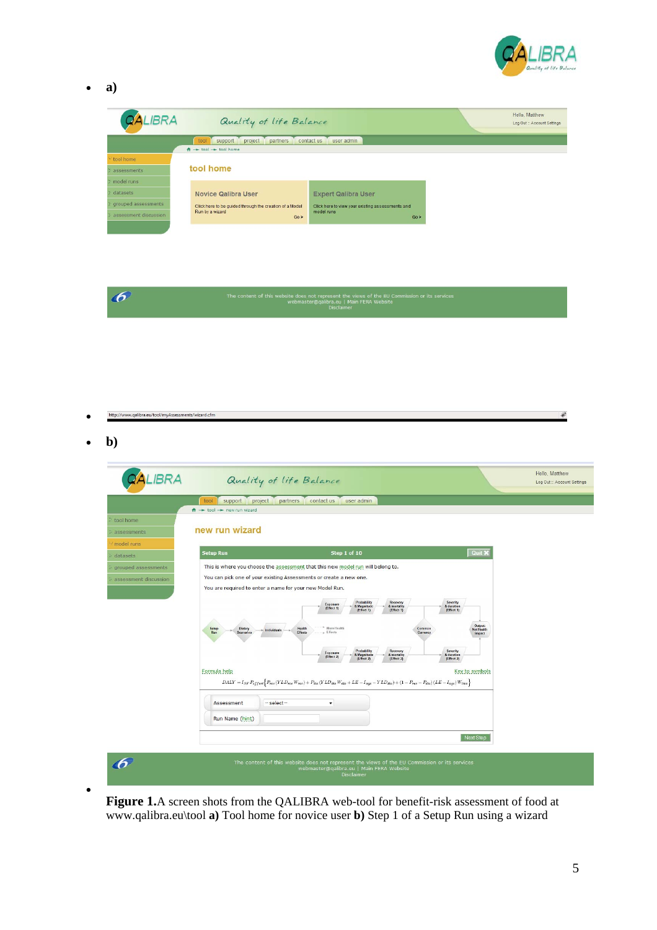

 $\lambda^2$ 

• **a)** 

| <b>QALIBRA</b>        | Quality of life Balance                                            |                                                  | Hello, Matthew<br>Log Out :: Account Settings |  |  |
|-----------------------|--------------------------------------------------------------------|--------------------------------------------------|-----------------------------------------------|--|--|
|                       | contact us<br>project<br>user admin<br>support<br>partners<br>tool |                                                  |                                               |  |  |
|                       | $A \rightarrow$ tool $\rightarrow$ tool home                       |                                                  |                                               |  |  |
| * tool home           |                                                                    |                                                  |                                               |  |  |
| assessments           | tool home                                                          |                                                  |                                               |  |  |
| model runs            |                                                                    |                                                  |                                               |  |  |
| datasets              | <b>Novice Qalibra User</b>                                         | <b>Expert Qalibra User</b>                       |                                               |  |  |
| grouped assessments   | Click here to be quided through the creation of a Model            | Click here to view your existing assessments and |                                               |  |  |
| assessment discussion | Run by a wizard<br>Go >                                            | model runs<br>Go >                               |                                               |  |  |
|                       |                                                                    |                                                  |                                               |  |  |



http://www.qalibra.eu/tool/myAssessments/wizard.cfm •

• **b)**

•

| <b>QALIBRA</b>                               |                                                                                                                                                                        | Quality of life Balance                                                                                                                                                                                                                                                                                                                                                                                                                                                                                                                                                                              |                                                                                                                                                                                      |                                                                 | Hello, Matthew<br>Log Out :: Account Settings |
|----------------------------------------------|------------------------------------------------------------------------------------------------------------------------------------------------------------------------|------------------------------------------------------------------------------------------------------------------------------------------------------------------------------------------------------------------------------------------------------------------------------------------------------------------------------------------------------------------------------------------------------------------------------------------------------------------------------------------------------------------------------------------------------------------------------------------------------|--------------------------------------------------------------------------------------------------------------------------------------------------------------------------------------|-----------------------------------------------------------------|-----------------------------------------------|
|                                              | tool<br>support<br>project                                                                                                                                             | partners<br>contact us<br>user admin                                                                                                                                                                                                                                                                                                                                                                                                                                                                                                                                                                 |                                                                                                                                                                                      |                                                                 |                                               |
| tool home<br>assessments                     | $A \rightarrow$ tool - new run wizard<br>new run wizard                                                                                                                |                                                                                                                                                                                                                                                                                                                                                                                                                                                                                                                                                                                                      |                                                                                                                                                                                      |                                                                 |                                               |
| model runs<br>datasets                       | <b>Setup Run</b>                                                                                                                                                       | Step 1 of 10                                                                                                                                                                                                                                                                                                                                                                                                                                                                                                                                                                                         |                                                                                                                                                                                      | Quit X                                                          |                                               |
| grouped assessments<br>assessment discussion | You are required to enter a name for your new Model Run.<br>Setup<br>Dietary<br>Individuals<br>Run<br><b>Scenarios</b><br>Formula help<br>$-$ select $-$<br>Assessment | This is where you choose the assessment that this new model run will belong to.<br>You can pick one of your existing Assessments or create a new one.<br>Probability<br>Exposure<br>& Magnitude<br>(Effect 1)<br>(Effect 1)<br><sup>1</sup> More Health<br>Health<br><b>Effects</b><br>Effects<br>Probability<br>Exposure<br>8. Magnitude<br>(Effect 2)<br>(Effect 2)<br>$\begin{aligned} DALY = I_{SF}\,P_{effect} \Big\{ P_{rec}\, (YLD_{rec}\,W_{rec}) + \,P_{die}\, (YLD_{die}\,W_{die} + LE - I_{age} - YLD_{die}) + (1-P_{rec} - P_{die})\,(LE - I_{age})\,W_{live} \Big\} \end{aligned}$<br>۰ | Recovery<br>Severity<br>& mortality<br>& duration<br>(Effect 1)<br>(Effect 1)<br>Common<br>Currency<br>Severity<br>Recovery<br>& mortality<br>& duration<br>(Effect 2)<br>(Effect 2) | <b>Output:</b><br><b>Net Health</b><br>Impact<br>Key to symbols |                                               |

**Figure 1.**A screen shots from the QALIBRA web-tool for benefit-risk assessment of food at www.qalibra.eu\tool **a)** Tool home for novice user **b)** Step 1 of a Setup Run using a wizard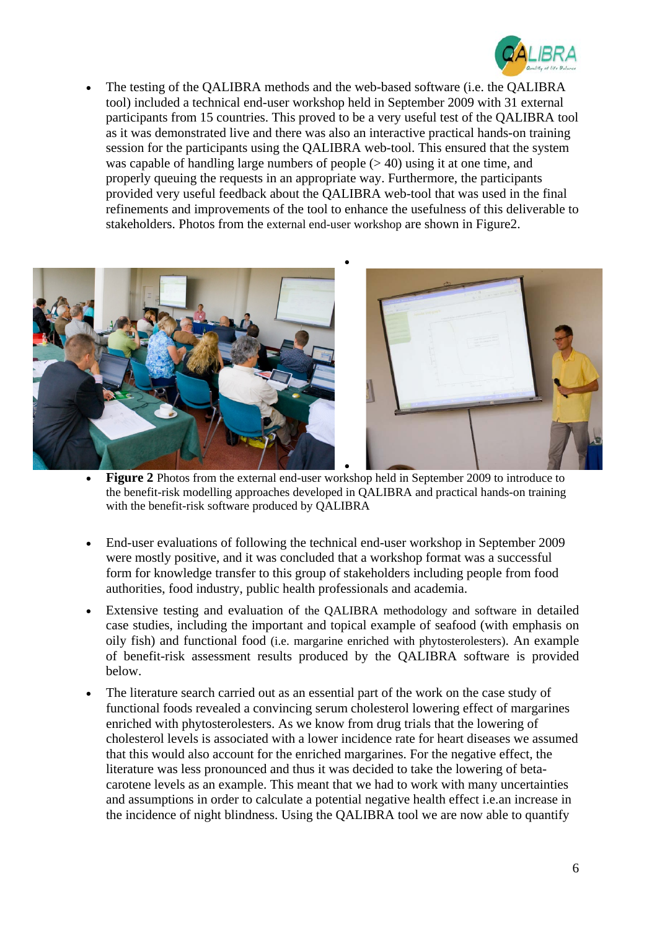

• The testing of the QALIBRA methods and the web-based software (i.e. the QALIBRA tool) included a technical end-user workshop held in September 2009 with 31 external participants from 15 countries. This proved to be a very useful test of the QALIBRA tool as it was demonstrated live and there was also an interactive practical hands-on training session for the participants using the QALIBRA web-tool. This ensured that the system was capable of handling large numbers of people (> 40) using it at one time, and properly queuing the requests in an appropriate way. Furthermore, the participants provided very useful feedback about the QALIBRA web-tool that was used in the final refinements and improvements of the tool to enhance the usefulness of this deliverable to stakeholders. Photos from the external end-user workshop are shown in Figure2.



• **Figure 2** Photos from the external end-user workshop held in September 2009 to introduce to the benefit-risk modelling approaches developed in QALIBRA and practical hands-on training with the benefit-risk software produced by QALIBRA

- End-user evaluations of following the technical end-user workshop in September 2009 were mostly positive, and it was concluded that a workshop format was a successful form for knowledge transfer to this group of stakeholders including people from food authorities, food industry, public health professionals and academia.
- Extensive testing and evaluation of the OALIBRA methodology and software in detailed case studies, including the important and topical example of seafood (with emphasis on oily fish) and functional food (i.e. margarine enriched with phytosterolesters). An example of benefit-risk assessment results produced by the QALIBRA software is provided below.
- The literature search carried out as an essential part of the work on the case study of functional foods revealed a convincing serum cholesterol lowering effect of margarines enriched with phytosterolesters. As we know from drug trials that the lowering of cholesterol levels is associated with a lower incidence rate for heart diseases we assumed that this would also account for the enriched margarines. For the negative effect, the literature was less pronounced and thus it was decided to take the lowering of betacarotene levels as an example. This meant that we had to work with many uncertainties and assumptions in order to calculate a potential negative health effect i.e.an increase in the incidence of night blindness. Using the QALIBRA tool we are now able to quantify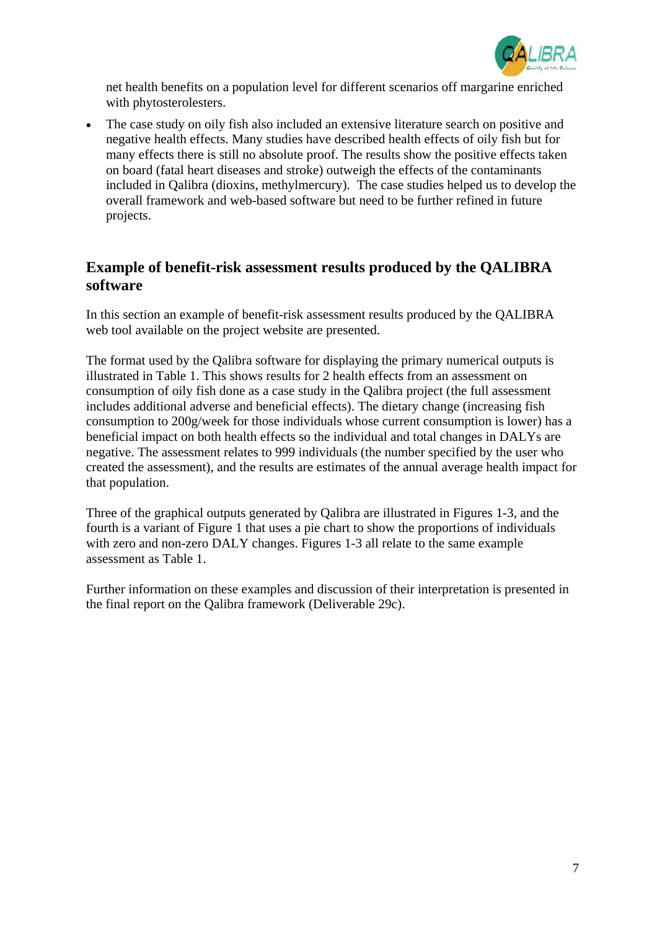

net health benefits on a population level for different scenarios off margarine enriched with phytosterolesters.

The case study on oily fish also included an extensive literature search on positive and negative health effects. Many studies have described health effects of oily fish but for many effects there is still no absolute proof. The results show the positive effects taken on board (fatal heart diseases and stroke) outweigh the effects of the contaminants included in Qalibra (dioxins, methylmercury). The case studies helped us to develop the overall framework and web-based software but need to be further refined in future projects.

## **Example of benefit-risk assessment results produced by the QALIBRA software**

In this section an example of benefit-risk assessment results produced by the QALIBRA web tool available on the project website are presented.

The format used by the Qalibra software for displaying the primary numerical outputs is illustrated in Table 1. This shows results for 2 health effects from an assessment on consumption of oily fish done as a case study in the Qalibra project (the full assessment includes additional adverse and beneficial effects). The dietary change (increasing fish consumption to 200g/week for those individuals whose current consumption is lower) has a beneficial impact on both health effects so the individual and total changes in DALYs are negative. The assessment relates to 999 individuals (the number specified by the user who created the assessment), and the results are estimates of the annual average health impact for that population.

Three of the graphical outputs generated by Qalibra are illustrated in Figures 1-3, and the fourth is a variant of Figure 1 that uses a pie chart to show the proportions of individuals with zero and non-zero DALY changes. Figures 1-3 all relate to the same example assessment as Table 1.

Further information on these examples and discussion of their interpretation is presented in the final report on the Qalibra framework (Deliverable 29c).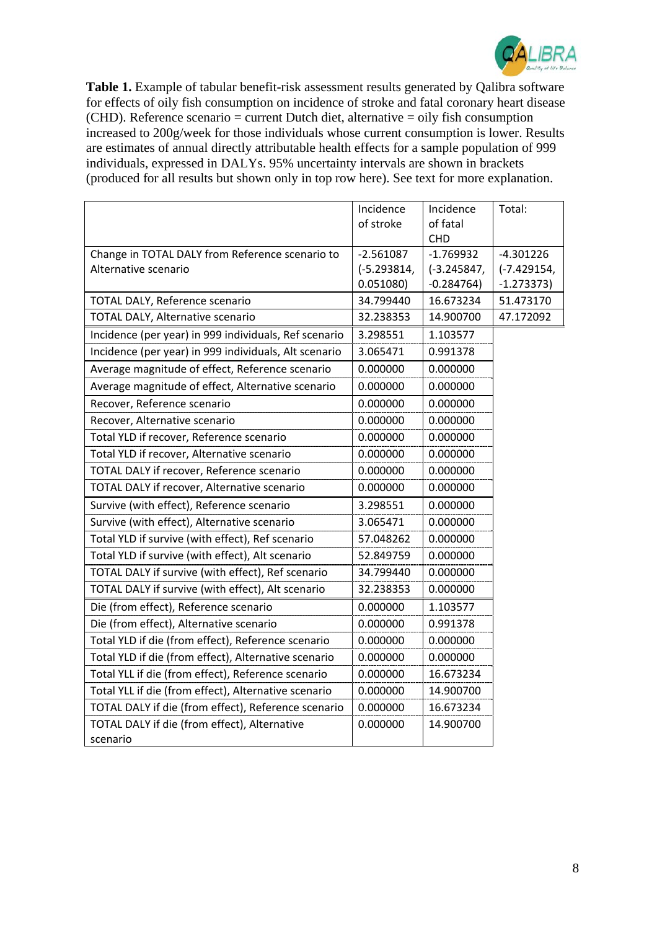

**Table 1.** Example of tabular benefit-risk assessment results generated by Qalibra software for effects of oily fish consumption on incidence of stroke and fatal coronary heart disease  $(CHD)$ . Reference scenario = current Dutch diet, alternative = oily fish consumption increased to 200g/week for those individuals whose current consumption is lower. Results are estimates of annual directly attributable health effects for a sample population of 999 individuals, expressed in DALYs. 95% uncertainty intervals are shown in brackets (produced for all results but shown only in top row here). See text for more explanation.

|                                                       | Incidence     | Incidence              | Total:        |
|-------------------------------------------------------|---------------|------------------------|---------------|
|                                                       | of stroke     | of fatal<br><b>CHD</b> |               |
| Change in TOTAL DALY from Reference scenario to       | $-2.561087$   | $-1.769932$            | $-4.301226$   |
| Alternative scenario                                  | $(-5.293814,$ | $(-3.245847,$          | $(-7.429154,$ |
|                                                       | 0.051080)     | $-0.284764)$           | $-1.273373$   |
| TOTAL DALY, Reference scenario                        | 34.799440     | 16.673234              | 51.473170     |
| TOTAL DALY, Alternative scenario                      | 32.238353     | 14.900700              | 47.172092     |
| Incidence (per year) in 999 individuals, Ref scenario | 3.298551      | 1.103577               |               |
| Incidence (per year) in 999 individuals, Alt scenario | 3.065471      | 0.991378               |               |
| Average magnitude of effect, Reference scenario       | 0.000000      | 0.000000               |               |
| Average magnitude of effect, Alternative scenario     | 0.000000      | 0.000000               |               |
| Recover, Reference scenario                           | 0.000000      | 0.000000               |               |
| Recover, Alternative scenario                         | 0.000000      | 0.000000               |               |
| Total YLD if recover, Reference scenario              | 0.000000      | 0.000000               |               |
| Total YLD if recover, Alternative scenario            | 0.000000      | 0.000000               |               |
| TOTAL DALY if recover, Reference scenario             | 0.000000      | 0.000000               |               |
| TOTAL DALY if recover, Alternative scenario           | 0.000000      | 0.000000               |               |
| Survive (with effect), Reference scenario             | 3.298551      | 0.000000               |               |
| Survive (with effect), Alternative scenario           | 3.065471      | 0.000000               |               |
| Total YLD if survive (with effect), Ref scenario      | 57.048262     | 0.000000               |               |
| Total YLD if survive (with effect), Alt scenario      | 52.849759     | 0.000000               |               |
| TOTAL DALY if survive (with effect), Ref scenario     | 34.799440     | 0.000000               |               |
| TOTAL DALY if survive (with effect), Alt scenario     | 32.238353     | 0.000000               |               |
| Die (from effect), Reference scenario                 | 0.000000      | 1.103577               |               |
| Die (from effect), Alternative scenario               | 0.000000      | 0.991378               |               |
| Total YLD if die (from effect), Reference scenario    | 0.000000      | 0.000000               |               |
| Total YLD if die (from effect), Alternative scenario  | 0.000000      | 0.000000               |               |
| Total YLL if die (from effect), Reference scenario    | 0.000000      | 16.673234              |               |
| Total YLL if die (from effect), Alternative scenario  | 0.000000      | 14.900700              |               |
| TOTAL DALY if die (from effect), Reference scenario   | 0.000000      | 16.673234              |               |
| TOTAL DALY if die (from effect), Alternative          | 0.000000      | 14.900700              |               |
| scenario                                              |               |                        |               |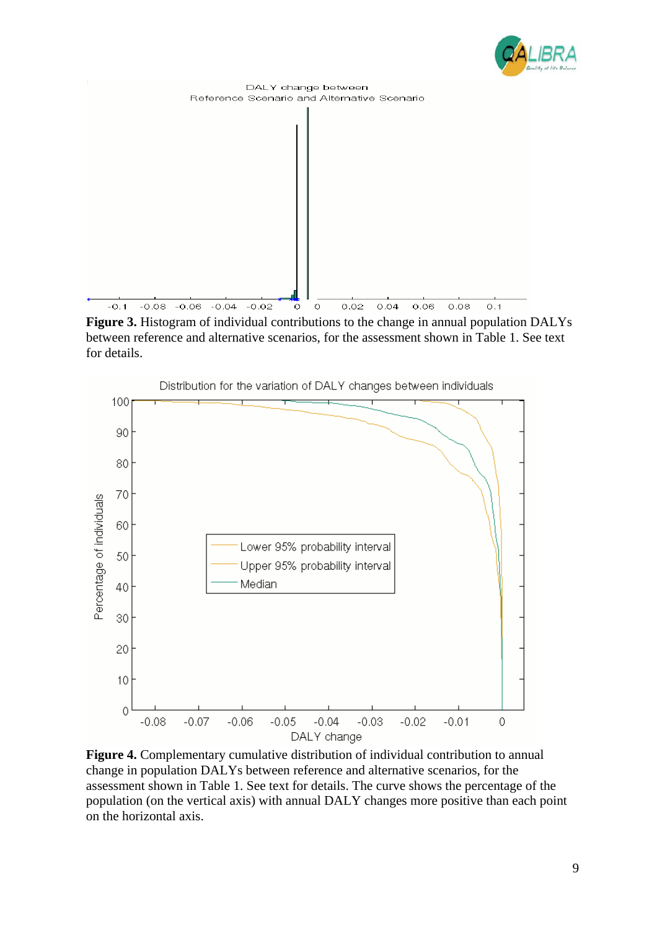



**Figure 3.** Histogram of individual contributions to the change in annual population DALYs between reference and alternative scenarios, for the assessment shown in Table 1. See text for details.



**Figure 4.** Complementary cumulative distribution of individual contribution to annual change in population DALYs between reference and alternative scenarios, for the assessment shown in Table 1. See text for details. The curve shows the percentage of the population (on the vertical axis) with annual DALY changes more positive than each point on the horizontal axis.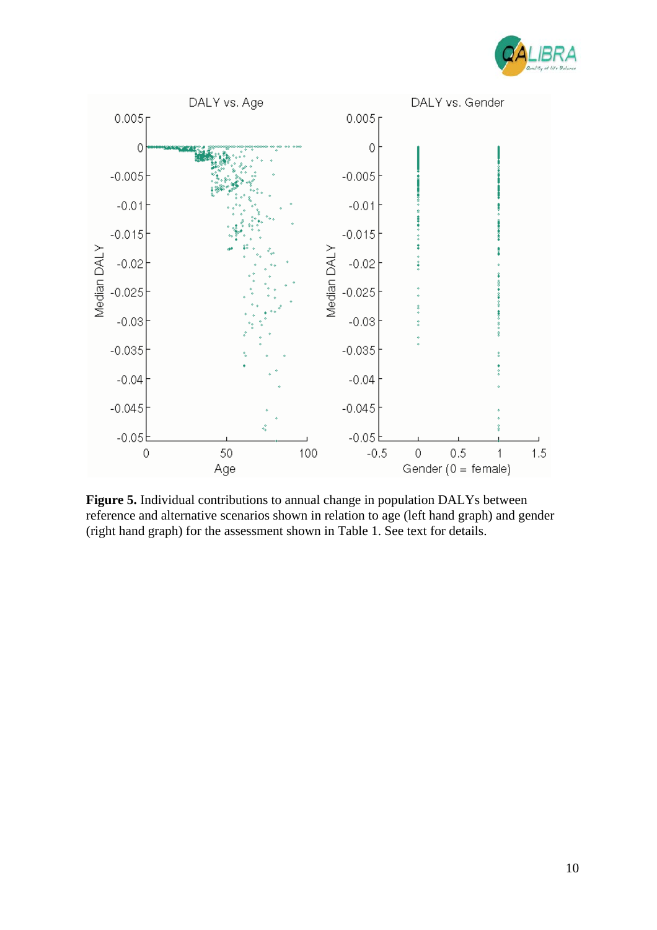



**Figure 5.** Individual contributions to annual change in population DALYs between reference and alternative scenarios shown in relation to age (left hand graph) and gender (right hand graph) for the assessment shown in Table 1. See text for details.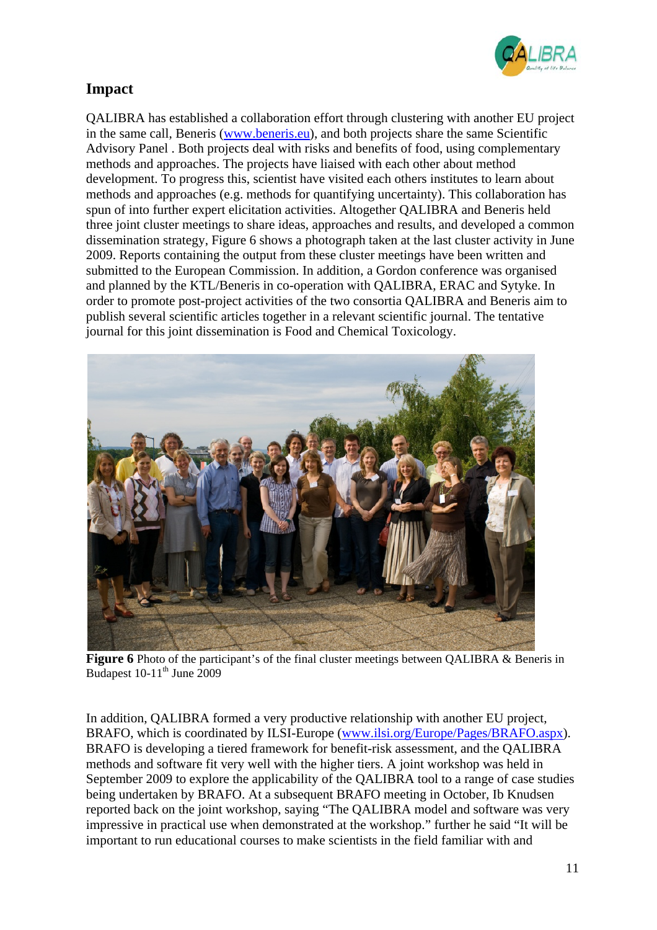

## **Impact**

QALIBRA has established a collaboration effort through clustering with another EU project in the same call, Beneris (www.beneris.eu), and both projects share the same Scientific Advisory Panel . Both projects deal with risks and benefits of food, using complementary methods and approaches. The projects have liaised with each other about method development. To progress this, scientist have visited each others institutes to learn about methods and approaches (e.g. methods for quantifying uncertainty). This collaboration has spun of into further expert elicitation activities. Altogether QALIBRA and Beneris held three joint cluster meetings to share ideas, approaches and results, and developed a common dissemination strategy, Figure 6 shows a photograph taken at the last cluster activity in June 2009. Reports containing the output from these cluster meetings have been written and submitted to the European Commission. In addition, a Gordon conference was organised and planned by the KTL/Beneris in co-operation with QALIBRA, ERAC and Sytyke. In order to promote post-project activities of the two consortia QALIBRA and Beneris aim to publish several scientific articles together in a relevant scientific journal. The tentative journal for this joint dissemination is Food and Chemical Toxicology.



**Figure 6** Photo of the participant's of the final cluster meetings between QALIBRA & Beneris in Budapest  $10-11^{\text{th}}$  June 2009

In addition, QALIBRA formed a very productive relationship with another EU project, BRAFO, which is coordinated by ILSI-Europe (www.ilsi.org/Europe/Pages/BRAFO.aspx). BRAFO is developing a tiered framework for benefit-risk assessment, and the QALIBRA methods and software fit very well with the higher tiers. A joint workshop was held in September 2009 to explore the applicability of the QALIBRA tool to a range of case studies being undertaken by BRAFO. At a subsequent BRAFO meeting in October, Ib Knudsen reported back on the joint workshop, saying "The QALIBRA model and software was very impressive in practical use when demonstrated at the workshop." further he said "It will be important to run educational courses to make scientists in the field familiar with and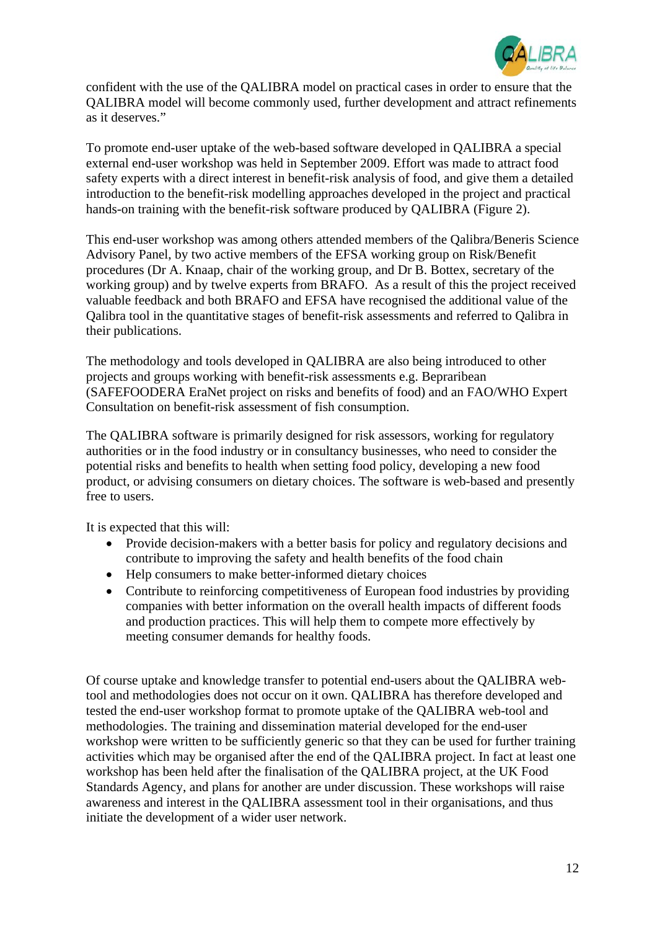

confident with the use of the QALIBRA model on practical cases in order to ensure that the QALIBRA model will become commonly used, further development and attract refinements as it deserves."

To promote end-user uptake of the web-based software developed in QALIBRA a special external end-user workshop was held in September 2009. Effort was made to attract food safety experts with a direct interest in benefit-risk analysis of food, and give them a detailed introduction to the benefit-risk modelling approaches developed in the project and practical hands-on training with the benefit-risk software produced by QALIBRA (Figure 2).

This end-user workshop was among others attended members of the Qalibra/Beneris Science Advisory Panel, by two active members of the EFSA working group on Risk/Benefit procedures (Dr A. Knaap, chair of the working group, and Dr B. Bottex, secretary of the working group) and by twelve experts from BRAFO. As a result of this the project received valuable feedback and both BRAFO and EFSA have recognised the additional value of the Qalibra tool in the quantitative stages of benefit-risk assessments and referred to Qalibra in their publications.

The methodology and tools developed in QALIBRA are also being introduced to other projects and groups working with benefit-risk assessments e.g. Bepraribean (SAFEFOODERA EraNet project on risks and benefits of food) and an FAO/WHO Expert Consultation on benefit-risk assessment of fish consumption.

The QALIBRA software is primarily designed for risk assessors, working for regulatory authorities or in the food industry or in consultancy businesses, who need to consider the potential risks and benefits to health when setting food policy, developing a new food product, or advising consumers on dietary choices. The software is web-based and presently free to users.

It is expected that this will:

- Provide decision-makers with a better basis for policy and regulatory decisions and contribute to improving the safety and health benefits of the food chain
- Help consumers to make better-informed dietary choices
- Contribute to reinforcing competitiveness of European food industries by providing companies with better information on the overall health impacts of different foods and production practices. This will help them to compete more effectively by meeting consumer demands for healthy foods.

Of course uptake and knowledge transfer to potential end-users about the QALIBRA webtool and methodologies does not occur on it own. QALIBRA has therefore developed and tested the end-user workshop format to promote uptake of the QALIBRA web-tool and methodologies. The training and dissemination material developed for the end-user workshop were written to be sufficiently generic so that they can be used for further training activities which may be organised after the end of the QALIBRA project. In fact at least one workshop has been held after the finalisation of the QALIBRA project, at the UK Food Standards Agency, and plans for another are under discussion. These workshops will raise awareness and interest in the QALIBRA assessment tool in their organisations, and thus initiate the development of a wider user network.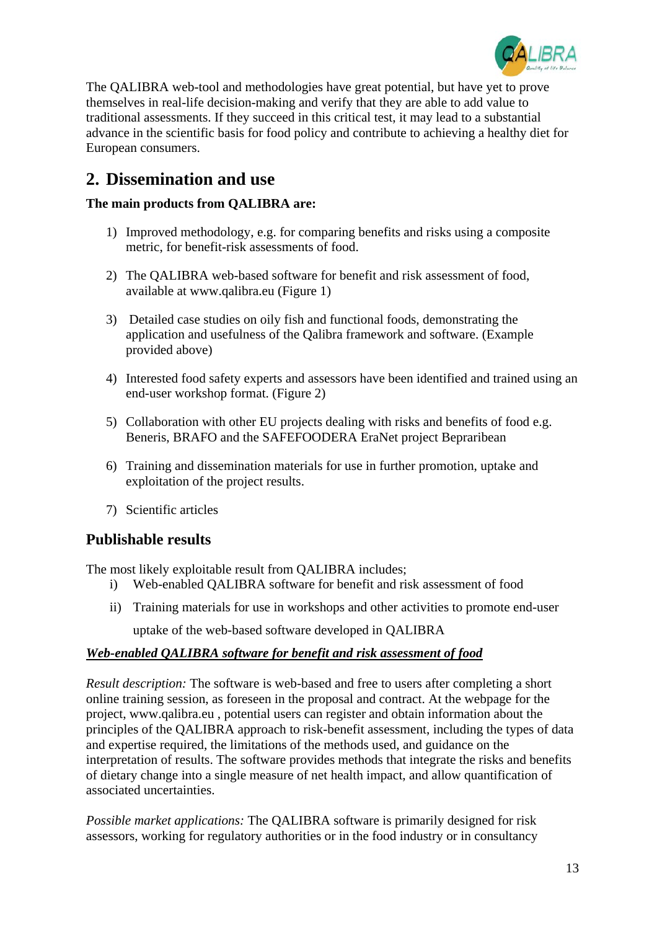

The QALIBRA web-tool and methodologies have great potential, but have yet to prove themselves in real-life decision-making and verify that they are able to add value to traditional assessments. If they succeed in this critical test, it may lead to a substantial advance in the scientific basis for food policy and contribute to achieving a healthy diet for European consumers.

## **2. Dissemination and use**

#### **The main products from QALIBRA are:**

- 1) Improved methodology, e.g. for comparing benefits and risks using a composite metric, for benefit-risk assessments of food.
- 2) The QALIBRA web-based software for benefit and risk assessment of food, available at www.qalibra.eu (Figure 1)
- 3) Detailed case studies on oily fish and functional foods, demonstrating the application and usefulness of the Qalibra framework and software. (Example provided above)
- 4) Interested food safety experts and assessors have been identified and trained using an end-user workshop format. (Figure 2)
- 5) Collaboration with other EU projects dealing with risks and benefits of food e.g. Beneris, BRAFO and the SAFEFOODERA EraNet project Bepraribean
- 6) Training and dissemination materials for use in further promotion, uptake and exploitation of the project results.
- 7) Scientific articles

## **Publishable results**

The most likely exploitable result from QALIBRA includes;

- i) Web-enabled QALIBRA software for benefit and risk assessment of food
- ii) Training materials for use in workshops and other activities to promote end-user uptake of the web-based software developed in QALIBRA

#### *Web-enabled QALIBRA software for benefit and risk assessment of food*

*Result description:* The software is web-based and free to users after completing a short online training session, as foreseen in the proposal and contract. At the webpage for the project, www.qalibra.eu , potential users can register and obtain information about the principles of the QALIBRA approach to risk-benefit assessment, including the types of data and expertise required, the limitations of the methods used, and guidance on the interpretation of results. The software provides methods that integrate the risks and benefits of dietary change into a single measure of net health impact, and allow quantification of associated uncertainties.

*Possible market applications:* The QALIBRA software is primarily designed for risk assessors, working for regulatory authorities or in the food industry or in consultancy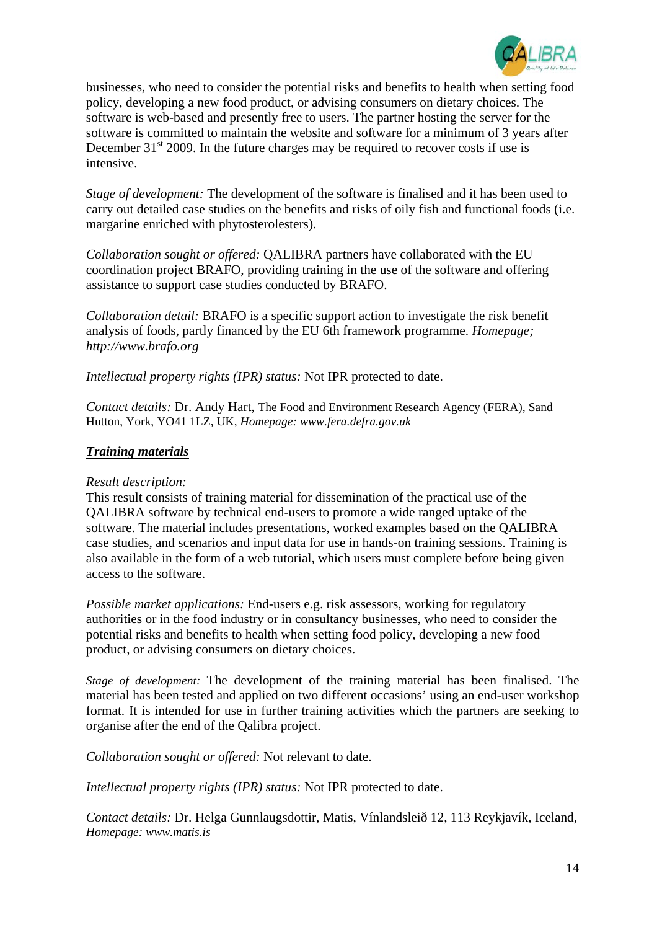

businesses, who need to consider the potential risks and benefits to health when setting food policy, developing a new food product, or advising consumers on dietary choices. The software is web-based and presently free to users. The partner hosting the server for the software is committed to maintain the website and software for a minimum of 3 years after December  $31<sup>st</sup>$  2009. In the future charges may be required to recover costs if use is intensive.

*Stage of development:* The development of the software is finalised and it has been used to carry out detailed case studies on the benefits and risks of oily fish and functional foods (i.e. margarine enriched with phytosterolesters).

*Collaboration sought or offered:* QALIBRA partners have collaborated with the EU coordination project BRAFO, providing training in the use of the software and offering assistance to support case studies conducted by BRAFO.

*Collaboration detail:* BRAFO is a specific support action to investigate the risk benefit analysis of foods, partly financed by the EU 6th framework programme. *Homepage; http://www.brafo.org*

*Intellectual property rights (IPR) status:* Not IPR protected to date.

*Contact details:* Dr. Andy Hart, The Food and Environment Research Agency (FERA), Sand Hutton, York, YO41 1LZ, UK, *Homepage: www.fera.defra.gov.uk*

#### *Training materials*

#### *Result description:*

This result consists of training material for dissemination of the practical use of the QALIBRA software by technical end-users to promote a wide ranged uptake of the software. The material includes presentations, worked examples based on the QALIBRA case studies, and scenarios and input data for use in hands-on training sessions. Training is also available in the form of a web tutorial, which users must complete before being given access to the software.

*Possible market applications:* End-users e.g. risk assessors, working for regulatory authorities or in the food industry or in consultancy businesses, who need to consider the potential risks and benefits to health when setting food policy, developing a new food product, or advising consumers on dietary choices.

*Stage of development:* The development of the training material has been finalised. The material has been tested and applied on two different occasions' using an end-user workshop format. It is intended for use in further training activities which the partners are seeking to organise after the end of the Qalibra project.

*Collaboration sought or offered:* Not relevant to date.

*Intellectual property rights (IPR) status:* Not IPR protected to date.

*Contact details:* Dr. Helga Gunnlaugsdottir, Matis, Vínlandsleið 12, 113 Reykjavík, Iceland, *Homepage: www.matis.is*